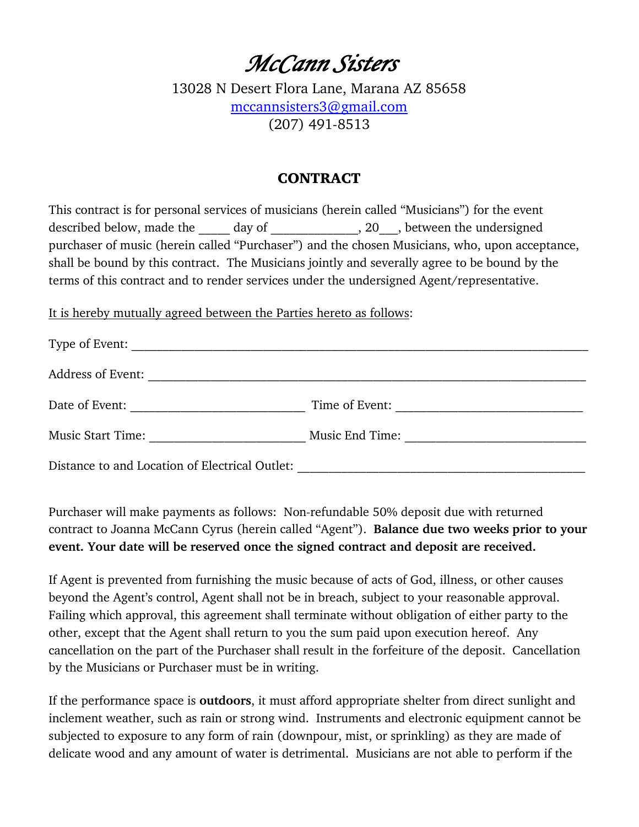## *McCann Sisters*

13028 N Desert Flora Lane, Marana AZ 85658 mccannsisters3@gmail.com (207) 491-8513

#### **CONTRACT**

This contract is for personal services of musicians (herein called "Musicians") for the event described below, made the day of the case of the set of the undersigned purchaser of music (herein called "Purchaser") and the chosen Musicians, who, upon acceptance, shall be bound by this contract. The Musicians jointly and severally agree to be bound by the terms of this contract and to render services under the undersigned Agent/representative.

It is hereby mutually agreed between the Parties hereto as follows:

| Type of Event:                                 |                 |
|------------------------------------------------|-----------------|
| Address of Event:                              |                 |
| Date of Event:                                 | Time of Event:  |
| <b>Music Start Time:</b>                       | Music End Time: |
| Distance to and Location of Electrical Outlet: |                 |

Purchaser will make payments as follows: Non-refundable 50% deposit due with returned contract to Joanna McCann Cyrus (herein called "Agent"). **Balance due two weeks prior to your event. Your date will be reserved once the signed contract and deposit are received.**

If Agent is prevented from furnishing the music because of acts of God, illness, or other causes beyond the Agent's control, Agent shall not be in breach, subject to your reasonable approval. Failing which approval, this agreement shall terminate without obligation of either party to the other, except that the Agent shall return to you the sum paid upon execution hereof. Any cancellation on the part of the Purchaser shall result in the forfeiture of the deposit. Cancellation by the Musicians or Purchaser must be in writing.

If the performance space is **outdoors**, it must afford appropriate shelter from direct sunlight and inclement weather, such as rain or strong wind. Instruments and electronic equipment cannot be subjected to exposure to any form of rain (downpour, mist, or sprinkling) as they are made of delicate wood and any amount of water is detrimental. Musicians are not able to perform if the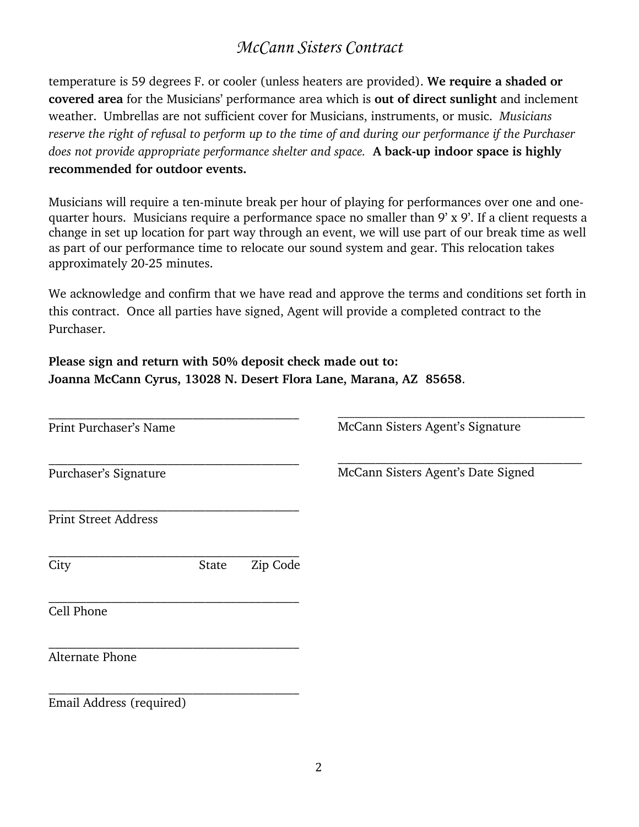#### *McCann Sisters Contract*

temperature is 59 degrees F. or cooler (unless heaters are provided). **We require a shaded or covered area** for the Musicians' performance area which is **out of direct sunlight** and inclement weather. Umbrellas are not sufficient cover for Musicians, instruments, or music. *Musicians reserve the right of refusal to perform up to the time of and during our performance if the Purchaser does not provide appropriate performance shelter and space.* **A back-up indoor space is highly recommended for outdoor events.**

Musicians will require a ten-minute break per hour of playing for performances over one and onequarter hours. Musicians require a performance space no smaller than 9' x 9'. If a client requests a change in set up location for part way through an event, we will use part of our break time as well as part of our performance time to relocate our sound system and gear. This relocation takes approximately 20-25 minutes.

We acknowledge and confirm that we have read and approve the terms and conditions set forth in this contract. Once all parties have signed, Agent will provide a completed contract to the Purchaser.

**Please sign and return with 50% deposit check made out to: Joanna McCann Cyrus, 13028 N. Desert Flora Lane, Marana, AZ 85658**.

| Print Purchaser's Name      |       |          | McCann Sisters Agent's Signature   |
|-----------------------------|-------|----------|------------------------------------|
| Purchaser's Signature       |       |          | McCann Sisters Agent's Date Signed |
| <b>Print Street Address</b> |       |          |                                    |
| City                        | State | Zip Code |                                    |
| Cell Phone                  |       |          |                                    |
| Alternate Phone             |       |          |                                    |
| Email Address (required)    |       |          |                                    |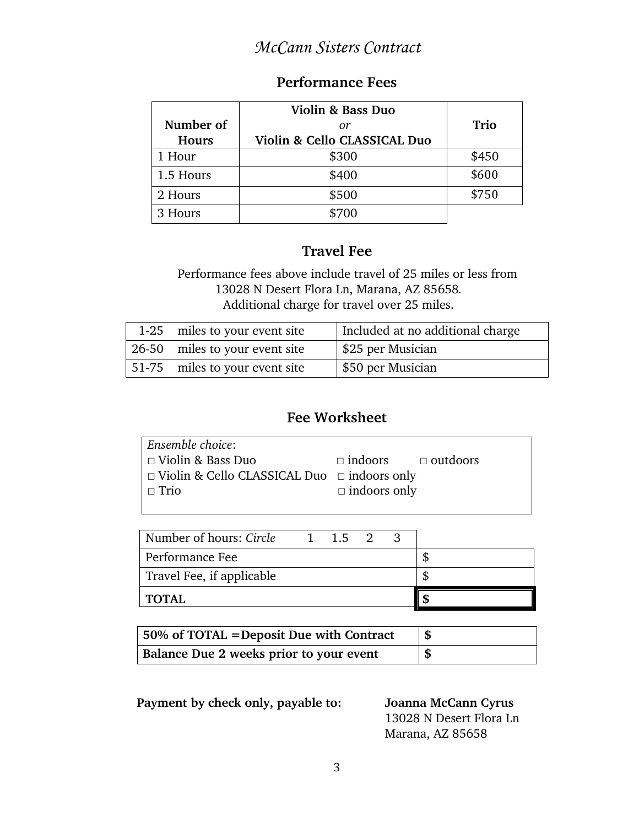#### *McCann Sisters Contract*

#### **Performance Fees**

|           | Violin & Bass Duo            |             |
|-----------|------------------------------|-------------|
| Number of | or                           | <b>Trio</b> |
| Hours     | Violin & Cello CLASSICAL Duo |             |
| 1 Hour    | \$300                        | \$450       |
| 1.5 Hours | \$400                        | \$600       |
| 2 Hours   | \$500                        | \$750       |
| 3 Hours   | \$700                        |             |

#### **Travel Fee**

 Performance fees above include travel of 25 miles or less from 13028 N Desert Flora Ln, Marana, AZ 85658*.* Additional charge for travel over 25 miles.

| 1-25 miles to your event site  | Included at no additional charge |
|--------------------------------|----------------------------------|
| 26-50 miles to your event site | \$25 per Musician                |
| 51-75 miles to your event site | \$50 per Musician                |

#### **Fee Worksheet**

| Ensemble choice:                                        |                                |  |  |
|---------------------------------------------------------|--------------------------------|--|--|
| □ Violin & Bass Duo                                     | $\Box$ indoors $\Box$ outdoors |  |  |
| $\Box$ Violin & Cello CLASSICAL Duo $\Box$ indoors only |                                |  |  |
| $\Box$ Trio                                             | $\Box$ indoors only            |  |  |
|                                                         |                                |  |  |

| Number of hours: Circle   | 1 1.5 2 3 |  |  |
|---------------------------|-----------|--|--|
| Performance Fee           |           |  |  |
| Travel Fee, if applicable |           |  |  |
| <b>TOTAL</b>              |           |  |  |

| $\vert$ 50% of TOTAL = Deposit Due with Contract |      |
|--------------------------------------------------|------|
| Balance Due 2 weeks prior to your event          | - \$ |

 **Payment by check only, payable to: Joanna McCann Cyrus**

13028 N Desert Flora Ln Marana, AZ 85658